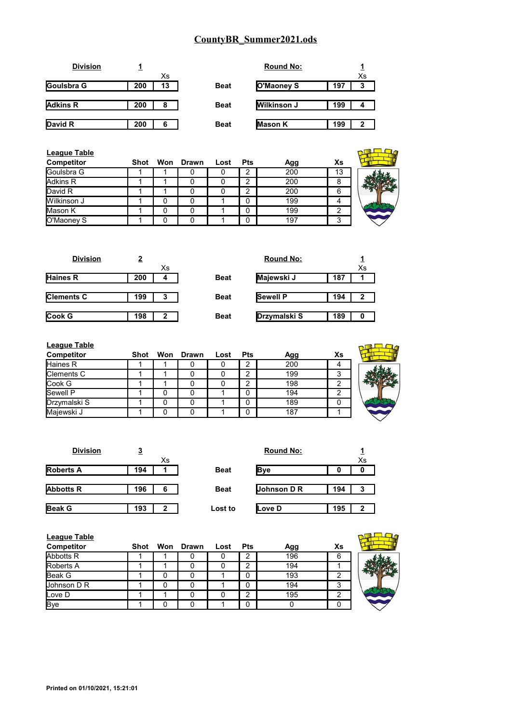|     |    |             | <b>Round No:</b>   |     |    |
|-----|----|-------------|--------------------|-----|----|
|     | Xs |             |                    |     | Xs |
| 200 | 13 | <b>Beat</b> | O'Maoney S         | 197 | 3  |
|     |    |             |                    |     |    |
| 200 | 8  | <b>Beat</b> | <b>Wilkinson J</b> | 199 |    |
|     |    |             |                    |     |    |
| 200 | 6  | <b>Beat</b> | <b>Mason K</b>     | 199 | 2  |
|     |    |             |                    |     |    |

| <b>League Table</b> |      |           |      |            |     |    |  |
|---------------------|------|-----------|------|------------|-----|----|--|
| Competitor          | Shot | Won Drawn | Lost | <b>Pts</b> | Agg | Xs |  |
| Goulsbra G          |      |           |      | 2          | 200 | 13 |  |
| Adkins R            |      |           |      | 2          | 200 | 8  |  |
| David R             |      |           |      | 2          | 200 | 6  |  |
| Wilkinson J         |      |           |      | 0          | 199 |    |  |
| Mason K             |      |           |      | 0          | 199 |    |  |
| O'Maoney S          |      |           |      | 0          | 197 | 3  |  |

| <b>Division</b>   | 2   |    |             | <b>Round No:</b> |     |    |
|-------------------|-----|----|-------------|------------------|-----|----|
|                   |     | Xs |             |                  |     | Xs |
| <b>Haines R</b>   | 200 | 4  | <b>Beat</b> | Majewski J       | 187 |    |
|                   |     |    |             |                  |     |    |
| <b>Clements C</b> | 199 | 3  | <b>Beat</b> | <b>Sewell P</b>  | 194 | 2  |
|                   |     |    |             |                  |     |    |
| <b>Cook G</b>     | 198 | 2  | <b>Beat</b> | Drzymalski S     | 189 | 0  |
|                   |     |    |             |                  |     |    |

| <b>League Table</b> |      |           |      |            |     |    |  |
|---------------------|------|-----------|------|------------|-----|----|--|
| <b>Competitor</b>   | Shot | Won Drawn | Lost | <b>Pts</b> | Agg | Xs |  |
| Haines R            |      |           |      | っ          | 200 |    |  |
| Clements C          |      |           |      | ◠          | 199 | 3  |  |
| Cook G              |      |           |      | ◠          | 198 | ⌒  |  |
| Sewell P            |      |           |      | 0          | 194 | ◠  |  |
| Drzymalski S        |      |           |      | 0          | 189 | 0  |  |
| Majewski J          |      |           |      | 0          | 187 |    |  |
|                     |      |           |      |            |     |    |  |

| <b>Division</b>  | <u>3</u> |             | <b>Round No:</b> |     |    |
|------------------|----------|-------------|------------------|-----|----|
|                  | Xs       |             |                  |     | Xs |
| <b>Roberts A</b> | 194      | <b>Beat</b> | <b>Bye</b>       | 0   | o  |
|                  |          |             |                  |     |    |
| <b>Abbotts R</b> | 196<br>6 | <b>Beat</b> | Johnson D R      | 194 | 3  |
|                  |          |             |                  |     |    |
| <b>Beak G</b>    | 193<br>2 | Lost to     | Love D           | 195 | 2  |

| <b>League Table</b><br><b>Competitor</b> | Shot | Won Drawn | Lost | <b>Pts</b> | Agg | Xs |  |
|------------------------------------------|------|-----------|------|------------|-----|----|--|
| Abbotts R                                |      |           | O    | 2          | 196 | 6  |  |
| <b>Roberts A</b>                         |      |           |      | ⌒          | 194 |    |  |
| Beak G                                   |      |           |      | 0          | 193 |    |  |
| Johnson D R                              |      |           |      |            | 194 | 3  |  |
| Love D                                   |      |           |      | ⌒          | 195 | ◠  |  |
| <b>Bye</b>                               |      |           |      | n          |     |    |  |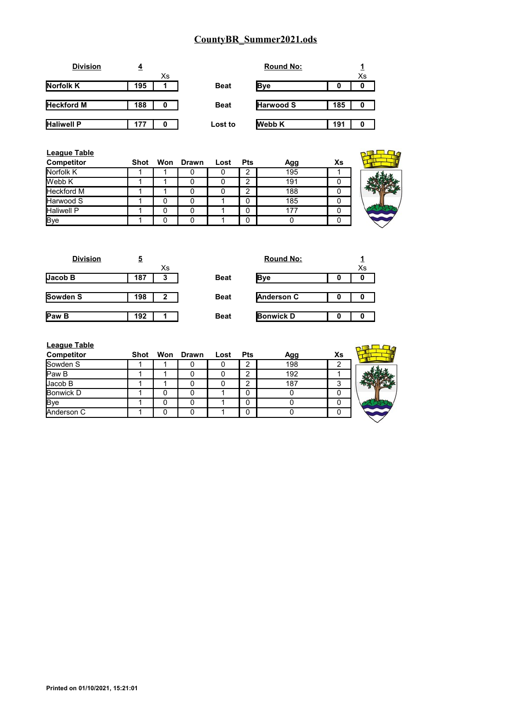| <b>Division</b>   | 4   |    |             | <b>Round No:</b> |     |    |
|-------------------|-----|----|-------------|------------------|-----|----|
|                   |     | Xs |             |                  |     | Xs |
| Norfolk K         | 195 |    | <b>Beat</b> | Bye              | 0   | 0  |
| <b>Heckford M</b> | 188 | 0  | <b>Beat</b> | <b>Harwood S</b> | 185 | 0  |
| <b>Haliwell P</b> | 177 | 0  | Lost to     | <b>Webb K</b>    | 191 |    |

| <b>League Table</b><br>Competitor | Shot |              | Won Drawn | Lost | <b>Pts</b> | Agg | Xs |
|-----------------------------------|------|--------------|-----------|------|------------|-----|----|
| Norfolk K                         |      |              |           |      | 2          | 195 |    |
| Webb K                            |      |              |           |      | っ          | 191 |    |
| <b>Heckford M</b>                 |      |              |           |      | っ          | 188 |    |
| Harwood S                         |      | 0            |           |      | 0          | 185 |    |
| <b>Haliwell P</b>                 |      | O            |           |      | 0          | 177 |    |
| <b>Bye</b>                        |      | <sup>0</sup> |           |      | 0          | O   |    |

| <u>5</u> |    |             | <b>Round No:</b>  |   |    |
|----------|----|-------------|-------------------|---|----|
|          | Xs |             |                   |   | Xs |
| 187      | 3  | <b>Beat</b> | <b>Bye</b>        | 0 | 0  |
|          |    |             |                   |   |    |
| 198      | 2  | <b>Beat</b> | <b>Anderson C</b> |   | 0  |
|          |    |             |                   |   |    |
| 192      |    | <b>Beat</b> | <b>Bonwick D</b>  | 0 | 0  |
|          |    |             |                   |   |    |

| <b>Round No:</b>  | $\overline{x}_{s}$ |
|-------------------|--------------------|
| <b>B</b> ve       |                    |
| <b>Anderson C</b> |                    |
| <b>Bonwick D</b>  |                    |

| <b>League Table</b> |      |           |      |            |     |    |  |
|---------------------|------|-----------|------|------------|-----|----|--|
| <b>Competitor</b>   | Shot | Won Drawn | Lost | <b>Pts</b> | Agg | Xs |  |
| Sowden S            |      |           |      |            | 198 |    |  |
| Paw B               |      |           |      | $\sqrt{2}$ | 192 |    |  |
| Jacob B             |      |           |      | ີ          | 187 |    |  |
| Bonwick D           |      |           |      |            |     |    |  |
| <b>Bye</b>          |      |           |      |            |     |    |  |
| Anderson C          |      |           |      |            |     |    |  |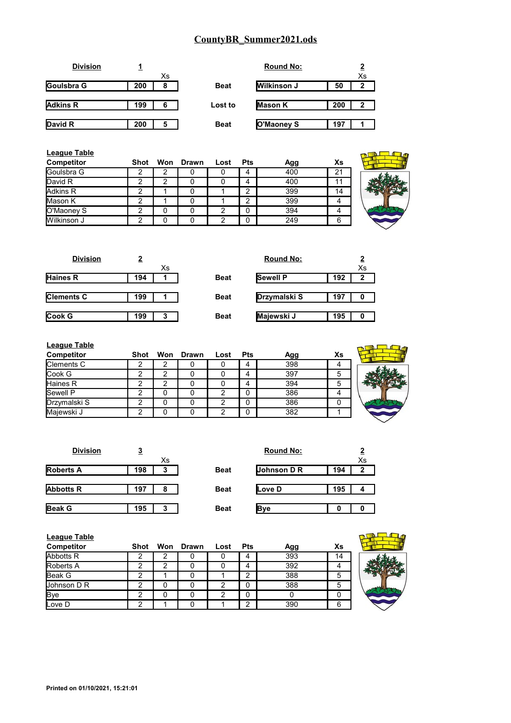|     |   |             | <b>Round No:</b>   |     |    |
|-----|---|-------------|--------------------|-----|----|
|     |   |             |                    |     | Xs |
| 200 | 8 | <b>Beat</b> | <b>Wilkinson J</b> | 50  | 2  |
|     |   |             |                    |     |    |
| 199 | 6 | Lost to     | Mason K            | 200 | 2  |
|     |   |             |                    |     |    |
| 200 | 5 | <b>Beat</b> | O'Maoney S         | 197 |    |
|     |   | Xs          |                    |     |    |

| League Table<br>Competitor | Shot |   | Won Drawn | Lost | <b>Pts</b> | Agg | Xs |  |
|----------------------------|------|---|-----------|------|------------|-----|----|--|
| Goulsbra G                 |      |   |           |      |            | 400 | 21 |  |
| David R                    | ⌒    | ົ |           |      |            | 400 | 11 |  |
| Adkins R                   | ◠    |   |           |      | ⌒          | 399 | 14 |  |
| Mason K                    | ⌒    |   |           |      | ົ          | 399 |    |  |
| O'Maoney S                 |      |   |           | っ    | 0          | 394 | 4  |  |
| Wilkinson J                | ◠    |   |           | າ    | 0          | 249 | 6  |  |

| <b>Division</b>   | 2   |    |             | <b>Round No:</b> |     |    |
|-------------------|-----|----|-------------|------------------|-----|----|
|                   |     | Хs |             |                  |     | Xs |
| <b>Haines R</b>   | 194 |    | <b>Beat</b> | <b>Sewell P</b>  | 192 | 2  |
|                   |     |    |             |                  |     |    |
| <b>Clements C</b> | 199 |    | <b>Beat</b> | Drzymalski S     | 197 | 0  |
|                   |     |    |             |                  |     |    |
| Cook G            | 199 | 3  | <b>Beat</b> | Majewski J       | 195 | 0  |
|                   |     |    |             |                  |     |    |

| <b>League Table</b> |      |   |           |      |            |     |    |  |
|---------------------|------|---|-----------|------|------------|-----|----|--|
| Competitor          | Shot |   | Won Drawn | Lost | <b>Pts</b> | Agg | Xs |  |
| Clements C          |      |   |           |      | 4          | 398 |    |  |
| Cook G              | ⌒    | ◠ |           |      | 4          | 397 | 5  |  |
| <b>Haines R</b>     |      | ົ |           |      | 4          | 394 | 5  |  |
| Sewell P            |      |   |           |      | 0          | 386 |    |  |
| Drzymalski S        |      |   |           |      | 0          | 386 |    |  |
| Majewski J          |      |   |           |      | 0          | 382 |    |  |

| <b>Division</b>  | 3   |    |             | <b>Round No:</b> |     |    |
|------------------|-----|----|-------------|------------------|-----|----|
|                  |     | Xs |             |                  |     | Xs |
| <b>Roberts A</b> | 198 | 3  | <b>Beat</b> | Johnson D R      | 194 | 2  |
|                  |     |    |             |                  |     |    |
| <b>Abbotts R</b> | 197 | 8  | <b>Beat</b> | Love D           | 195 | 4  |
|                  |     |    |             |                  |     |    |
| <b>Beak G</b>    | 195 | 3  | <b>Beat</b> | <b>B</b> ve      | 0   |    |

| <b>League Table</b><br>Competitor | Shot |   | Won Drawn | Lost | Pts | Agg | Xs |  |
|-----------------------------------|------|---|-----------|------|-----|-----|----|--|
| <b>Abbotts R</b>                  | າ    | ົ |           |      | 4   | 393 | 14 |  |
| <b>Roberts A</b>                  |      |   |           |      |     | 392 |    |  |
| Beak G                            |      |   |           |      | ົ   | 388 | 5  |  |
| Uohnson D R                       |      |   |           |      |     | 388 | 5  |  |
| <b>Bye</b>                        |      |   |           |      |     |     | 0  |  |
| Love D                            |      |   |           |      | ⌒   | 390 | 6  |  |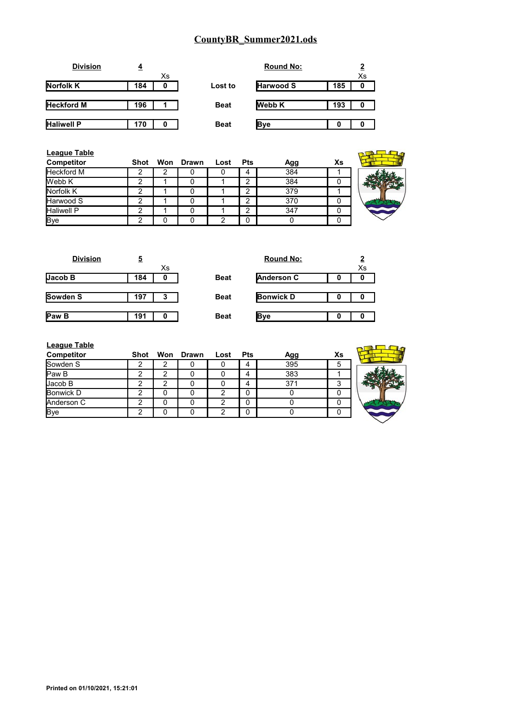| <b>Division</b>   |     |    |             | <b>Round No:</b> |     |    |
|-------------------|-----|----|-------------|------------------|-----|----|
|                   |     | Xs |             |                  |     | Xs |
| Norfolk K         | 184 | 0  | Lost to     | <b>Harwood S</b> | 185 | 0  |
|                   |     |    |             |                  |     |    |
| <b>Heckford M</b> | 196 |    | <b>Beat</b> | <b>Webb K</b>    | 193 | 0  |
|                   |     |    |             |                  |     |    |
| <b>Haliwell P</b> | 170 |    | <b>Beat</b> | <b>B</b> ve      | 0   |    |

| <b>League Table</b><br><b>Competitor</b> | Shot | Won Drawn | Lost | <b>Pts</b> | Agg | Xs |  |
|------------------------------------------|------|-----------|------|------------|-----|----|--|
| <b>Heckford M</b>                        |      |           |      | 4          | 384 |    |  |
| Webb K                                   | ◠    |           |      | 2          | 384 | 0  |  |
| Norfolk K                                | ົ    |           |      | ◠          | 379 |    |  |
| Harwood S                                | າ    | 0         |      | 2          | 370 | 0  |  |
| <b>Haliwell P</b>                        | ◠    |           |      | ◠          | 347 | 0  |  |
| <b>Bye</b>                               | ົ    |           |      | 0          |     |    |  |

| <b>Division</b> | <u>5</u> |             | <b>Round No:</b> | $\mathbf{2}$ |
|-----------------|----------|-------------|------------------|--------------|
|                 | Xs       |             |                  | X.           |
| Jacob B         | 184<br>0 | <b>Beat</b> | Anderson C       |              |
|                 |          |             |                  |              |
| <b>Sowden S</b> | 197<br>3 | <b>Beat</b> | <b>Bonwick D</b> |              |
|                 |          |             |                  |              |
| <b>Paw B</b>    | 191      | <b>Beat</b> | <b>B</b> ve      |              |
|                 |          |             |                  |              |

| Xs |             | <b>Round No:</b>  | $\overline{2}$<br>Xs |
|----|-------------|-------------------|----------------------|
| 0  | <b>Beat</b> | <b>Anderson C</b> | 0                    |
| -3 | <b>Beat</b> | <b>Bonwick D</b>  | 0                    |
| 0  | <b>Beat</b> | Bve               | o                    |

| League Table |  |  |
|--------------|--|--|
|              |  |  |

| <b>League Table</b> |      |   |           |      |            |     |    |  |
|---------------------|------|---|-----------|------|------------|-----|----|--|
| Competitor          | Shot |   | Won Drawn | Lost | <b>Pts</b> | Agg | Xs |  |
| Sowden S            | າ    | ົ |           |      | 4          | 395 | 5  |  |
| Paw B               | ົ    | C |           |      | 4          | 383 |    |  |
| Jacob B             | ົ    | ົ |           |      | 4          | 371 |    |  |
| <b>Bonwick D</b>    | ⌒    |   |           | ົ    |            |     |    |  |
| Anderson C          | ົ    |   |           |      |            |     |    |  |
| Bye                 |      |   |           |      |            |     |    |  |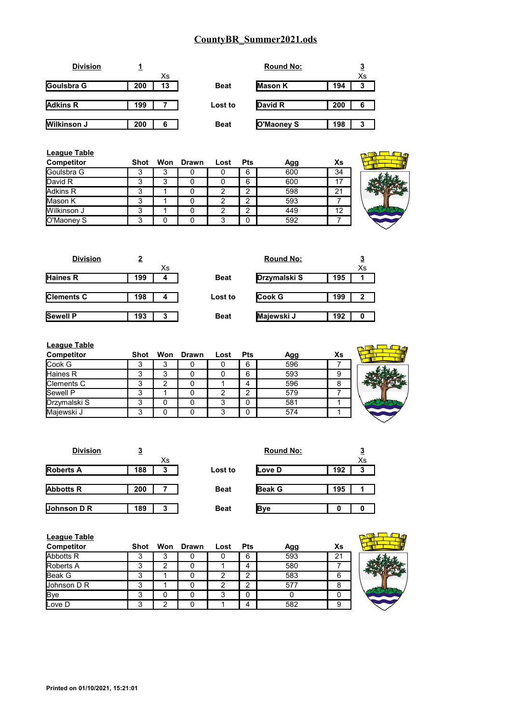|     |    |             | <b>Round No:</b> |     |    |
|-----|----|-------------|------------------|-----|----|
|     | Xs |             |                  |     | Xs |
| 200 | 13 | <b>Beat</b> | <b>Mason K</b>   | 194 | 3  |
|     |    |             |                  |     |    |
| 199 |    | Lost to     | David R          | 200 | 6  |
|     |    |             |                  |     |    |
| 200 | 6  | <b>Beat</b> | O'Maoney S       | 198 | 3  |
|     |    |             |                  |     |    |

| League Table<br>Competitor | Shot |   | Won Drawn | Lost | <b>Pts</b> | Agg | Xs |  |
|----------------------------|------|---|-----------|------|------------|-----|----|--|
| Goulsbra G                 |      | 3 |           |      | 6          | 600 | 34 |  |
| David R                    | 3    | 3 |           |      | 6          | 600 | 17 |  |
| Adkins R                   | 3    |   |           | っ    | ົ          | 598 | 21 |  |
| Mason K                    | 3    |   |           |      | ົ          | 593 |    |  |
| Wilkinson J                | 3    |   |           |      | ⌒          | 449 | 12 |  |
| O'Maoney S                 | 3    |   |           | 3    |            | 592 |    |  |

| <b>Division</b>   | 2   |    |             | <b>Round No:</b> |     | <u>3</u>     |
|-------------------|-----|----|-------------|------------------|-----|--------------|
|                   |     | Xs |             |                  |     | Xs           |
| <b>Haines R</b>   | 199 | 4  | <b>Beat</b> | Drzymalski S     | 195 |              |
|                   |     |    |             |                  |     |              |
| <b>Clements C</b> | 198 | 4  | Lost to     | <b>Cook G</b>    | 199 | $\mathbf{2}$ |
|                   |     |    |             |                  |     |              |
| <b>Sewell P</b>   | 193 | 3  | <b>Beat</b> | Majewski J       | 192 | 0            |
|                   |     |    |             |                  |     |              |

| <b>League Table</b> |      |   |           |      |            |     |    |  |
|---------------------|------|---|-----------|------|------------|-----|----|--|
| Competitor          | Shot |   | Won Drawn | Lost | <b>Pts</b> | Agg | Xs |  |
| Cook G              | 3    | っ |           |      | 6          | 596 |    |  |
| Haines R            | 3    | 3 |           |      | 6          | 593 | 9  |  |
| <b>Clements C</b>   | 3    | ົ |           |      | 4          | 596 | 8  |  |
| <b>Sewell P</b>     | 3    |   |           |      | ◠          | 579 |    |  |
| Drzymalski S        | 3    |   |           |      | 0          | 581 |    |  |
| Majewski J          | 3    |   |           |      | 0          | 574 |    |  |

| <b>Division</b>  | <u>3</u> |    |             | <b>Round No:</b> |     | P  |
|------------------|----------|----|-------------|------------------|-----|----|
|                  |          | Xs |             |                  |     | Xs |
| <b>Roberts A</b> | 188      | 3  | Lost to     | Love D           | 192 | 3  |
|                  |          |    |             |                  |     |    |
| <b>Abbotts R</b> | 200      |    | <b>Beat</b> | <b>Beak G</b>    | 195 |    |
|                  |          |    |             |                  |     |    |
| Johnson D R      | 189      | 3  | <b>Beat</b> | <b>Bye</b>       |     |    |

| <b>League Table</b><br><b>Competitor</b> | Shot |   | Won Drawn | Lost | <b>Pts</b> | Agg | Xs |  |
|------------------------------------------|------|---|-----------|------|------------|-----|----|--|
| Abbotts R                                |      | 3 |           |      | 6          | 593 | 21 |  |
| Roberts A                                |      | 2 |           |      | 4          | 580 |    |  |
| <b>Beak G</b>                            | 3    |   |           | っ    | ົ          | 583 | 6  |  |
| Johnson D R                              |      |   |           |      | ົ          | 577 | 8  |  |
| <b>Bye</b>                               |      |   |           | っ    | 0          |     | 0  |  |
| Love D                                   |      | ◠ |           |      |            | 582 | 9  |  |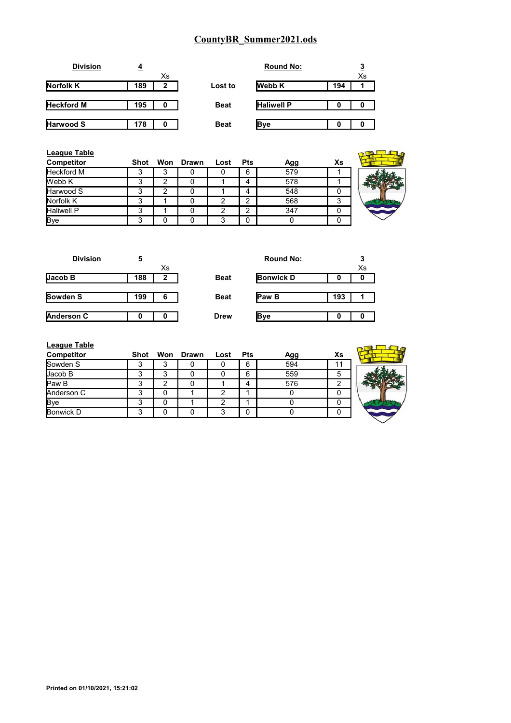| 4   |    |             | <b>Round No:</b>  |     |    |
|-----|----|-------------|-------------------|-----|----|
|     | Xs |             |                   |     | Xs |
| 189 | 2  | Lost to     | <b>Webb K</b>     | 194 |    |
|     |    |             |                   |     |    |
| 195 | 0  | <b>Beat</b> | <b>Haliwell P</b> | 0   |    |
|     |    |             |                   |     |    |
| 178 | 0  | <b>Beat</b> | Bve               | o   |    |
|     |    |             |                   |     |    |

| <b>League Table</b><br>Competitor | Shot |   | Won Drawn | Lost | <b>Pts</b> | Agg | Xs |  |
|-----------------------------------|------|---|-----------|------|------------|-----|----|--|
| Heckford M                        | د.   | 3 |           |      | 6          | 579 |    |  |
| Webb K                            | 3    | 2 |           |      | 4          | 578 |    |  |
| Harwood S                         | 3    | ◠ |           |      | 4          | 548 |    |  |
| Norfolk K                         | 3    |   | 0         |      | 2          | 568 | 3  |  |
| <b>Haliwell P</b>                 | 3    |   | 0         |      | 2          | 347 |    |  |
| <b>Bye</b>                        | 3    |   |           |      | 0          |     |    |  |

| <u>5</u> |    |             | <b>Round No:</b> |     | $\overline{3}$ |
|----------|----|-------------|------------------|-----|----------------|
|          | Xs |             |                  |     | Xs             |
| 188      | 2  | <b>Beat</b> | <b>Bonwick D</b> | O   | 0              |
|          |    |             |                  |     |                |
| 199      | 6  | <b>Beat</b> | <b>Paw B</b>     | 193 |                |
|          |    |             |                  |     |                |
|          |    | <b>Drew</b> | <b>B</b> ve      | 0   | 0              |
|          |    |             |                  |     |                |

| <b>Round No:</b> |     | $\overline{3}$<br>$\bar{x}$ |
|------------------|-----|-----------------------------|
| <b>Bonwick D</b> |     |                             |
| Paw B            | 193 |                             |
|                  |     |                             |

| <b>League Table</b><br><b>Competitor</b> | Shot |   | Won Drawn | Lost | Pts | Agg | Xs |  |
|------------------------------------------|------|---|-----------|------|-----|-----|----|--|
| Sowden S                                 | د    | 3 |           |      | 6   | 594 |    |  |
| Jacob B                                  | 3    | 3 |           |      | 6   | 559 | 5  |  |
| Paw <sub>B</sub>                         | 3    | າ |           |      | 4   | 576 |    |  |
| Anderson C                               | 3    | 0 |           |      |     |     |    |  |
| <b>Bye</b>                               | 3    | U |           |      |     |     |    |  |
| <b>Bonwick D</b>                         | 3    | 0 |           |      | 0   |     |    |  |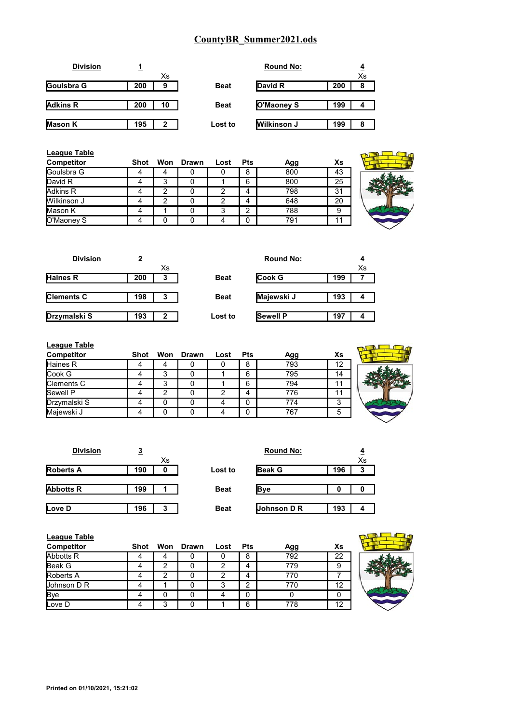| <b>Division</b> |     |              |             | <b>Round No:</b>   |     |    |
|-----------------|-----|--------------|-------------|--------------------|-----|----|
|                 |     | Xs           |             |                    |     | Xs |
| Goulsbra G      | 200 | 9            | <b>Beat</b> | David R            | 200 | 8  |
|                 |     |              |             |                    |     |    |
| <b>Adkins R</b> | 200 | 10           | <b>Beat</b> | O'Maoney S         | 199 | 4  |
|                 |     |              |             |                    |     |    |
| <b>Mason K</b>  | 195 | $\mathbf{2}$ | Lost to     | <b>Wilkinson J</b> | 199 | 8  |
|                 |     |              |             |                    |     |    |

| League Table<br>Competitor | Shot |   | Won Drawn | Lost | <b>Pts</b> | Agg | Xs |
|----------------------------|------|---|-----------|------|------------|-----|----|
| Goulsbra G                 | 4    |   |           |      | 8          | 800 | 43 |
| David R                    |      | 3 |           |      | 6          | 800 | 25 |
| Adkins R                   | 4    | າ |           | 2    |            | 798 | 31 |
| Wilkinson J                | 4    | ⌒ |           | 2    | 4          | 648 | 20 |
| Mason K                    |      |   |           | 3    | っ          | 788 | 9  |
| O'Maoney S                 |      |   |           |      | 0          | 791 | 11 |

| $\frac{\mathbf{Xs}}{43} \frac{43}{25} \frac{25}{31} \frac{1}{20} \frac{1}{9} \frac{1}{11}$ |  |
|--------------------------------------------------------------------------------------------|--|
|                                                                                            |  |
|                                                                                            |  |
|                                                                                            |  |
|                                                                                            |  |
|                                                                                            |  |

| <b>Division</b>   | 2   |    |             | <b>Round No:</b> |     |    |
|-------------------|-----|----|-------------|------------------|-----|----|
|                   |     | Xs |             |                  |     | Xs |
| <b>Haines R</b>   | 200 | 3  | <b>Beat</b> | <b>Cook G</b>    | 199 |    |
|                   |     |    |             |                  |     |    |
| <b>Clements C</b> | 198 | 3  | <b>Beat</b> | Majewski J       | 193 | л  |
|                   |     |    |             |                  |     |    |
| Drzymalski S      | 193 | 2  | Lost to     | <b>Sewell P</b>  | 197 | Δ  |
|                   |     |    |             |                  |     |    |

| <b>League Table</b> |      |   |           |      |     |     |    |  |
|---------------------|------|---|-----------|------|-----|-----|----|--|
| Competitor          | Shot |   | Won Drawn | Lost | Pts | Agg | Xs |  |
| Haines R            |      | 4 |           |      | 8   | 793 | 12 |  |
| Cook G              |      | 3 |           |      | 6   | 795 | 14 |  |
| Clements C          |      | 3 |           |      | 6   | 794 | 11 |  |
| Sewell P            |      | っ |           | 2    |     | 776 | 11 |  |
| Drzymalski S        |      |   |           |      |     | 774 | 3  |  |
| Majewski J          |      |   |           |      |     | 767 | 5  |  |
|                     |      |   |           |      |     |     |    |  |

| J   |    |             | <b>Round No:</b> |     | 4  |
|-----|----|-------------|------------------|-----|----|
|     | Xs |             |                  |     | Xs |
| 190 | 0  | Lost to     | <b>Beak G</b>    | 196 | 3  |
|     |    |             |                  |     |    |
| 199 |    | <b>Beat</b> | <b>Bye</b>       | o   |    |
|     |    |             |                  |     |    |
| 196 | 3  | <b>Beat</b> | Johnson D R      | 193 | 4  |
|     |    |             |                  |     |    |

| <b>League Table</b> |      |   |           |      |            |     |    |  |
|---------------------|------|---|-----------|------|------------|-----|----|--|
| <b>Competitor</b>   | Shot |   | Won Drawn | Lost | <b>Pts</b> | Agg | Xs |  |
| Abbotts R           |      |   |           |      | 8          | 792 | 22 |  |
| <b>Beak G</b>       |      |   |           |      | 4          | 779 | 9  |  |
| <b>Roberts A</b>    |      |   |           |      | 4          | 770 |    |  |
| Johnson D R         |      |   |           | З    | ◠          | 770 | 12 |  |
| <b>Bye</b>          |      |   |           |      | 0          |     |    |  |
| Love D              |      | 3 |           |      | 6          | 778 | 12 |  |

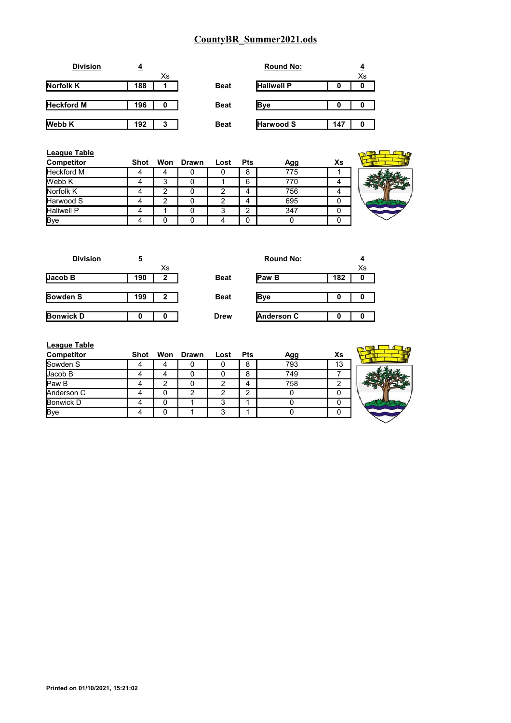| <b>Division</b>   | 4   |    |             | <b>Round No:</b>  |     |    |
|-------------------|-----|----|-------------|-------------------|-----|----|
|                   |     | Xs |             |                   |     | Xs |
| Norfolk K         | 188 |    | <b>Beat</b> | <b>Haliwell P</b> | 0   | 0  |
| <b>Heckford M</b> | 196 |    | <b>Beat</b> | <b>Bye</b>        | 0   | 0  |
| Webb K            | 192 | 3  | <b>Beat</b> | <b>Harwood S</b>  | 147 | 0  |

| <b>League Table</b><br><b>Competitor</b> | <b>Shot</b> |   | Won Drawn | Lost | <b>Pts</b> | Agg | Xs |
|------------------------------------------|-------------|---|-----------|------|------------|-----|----|
| <b>Heckford M</b>                        |             |   |           |      | 8          | 775 |    |
| Webb K                                   |             | 3 |           |      | 6          | 770 |    |
| Norfolk K                                |             | ◠ |           | 2    | 4          | 756 |    |
| <b>Harwood S</b>                         |             |   |           |      | 4          | 695 | 0  |
| <b>Haliwell P</b>                        |             |   |           | 3    | ົ          | 347 | 0  |
| <b>Bye</b>                               |             |   |           | 4    | 0          |     | O  |

| <b>Division</b>  | 5   |    |             | <b>Round No:</b> |     | $\overline{4}$ |
|------------------|-----|----|-------------|------------------|-----|----------------|
|                  |     | Xs |             |                  |     | Xs             |
| Jacob B          | 190 | 2  | <b>Beat</b> | <b>IPaw B</b>    | 182 | 0              |
| Sowden S         | 199 | 2  | <b>Beat</b> | Bve              |     | 0              |
|                  |     |    |             |                  |     |                |
| <b>Bonwick D</b> | Ω   | Λ  | <b>Drew</b> | Anderson C       | 0   | 0              |

| <b>Round No:</b>  |     | $\frac{4}{x_s}$ |
|-------------------|-----|-----------------|
| Paw B             | 182 |                 |
| Bve               |     |                 |
| <b>Anderson C</b> |     |                 |

|          | League Table |  |
|----------|--------------|--|
| <b>.</b> | .            |  |

| <b>League Table</b> |      |   |           |      |            |     |    |  |
|---------------------|------|---|-----------|------|------------|-----|----|--|
| Competitor          | Shot |   | Won Drawn | Lost | <b>Pts</b> | Agg | Xs |  |
| Sowden S            |      | 4 |           |      | 8          | 793 | 13 |  |
| Jacob B             |      | 4 |           |      | 8          | 749 |    |  |
| Paw B               |      | ◠ |           | ⌒    |            | 758 | ົ  |  |
| Anderson C          |      |   | ◠         |      |            |     | 0  |  |
| Bonwick D           |      |   |           |      |            |     | 0  |  |
| <b>Bye</b>          |      |   |           |      |            |     | 0  |  |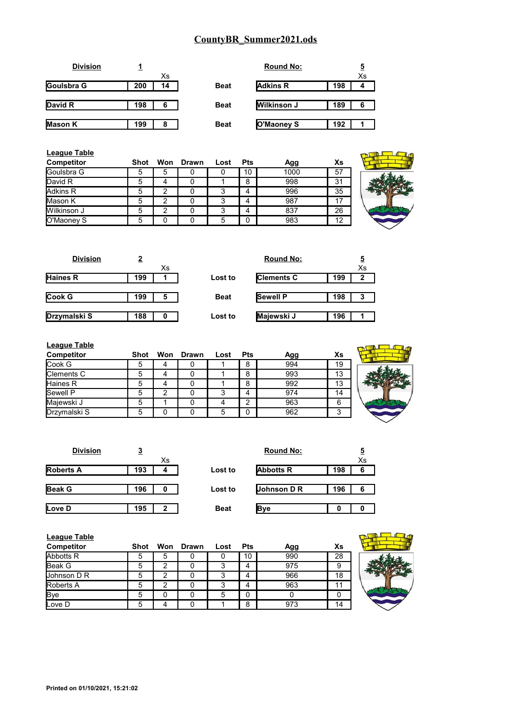| <b>Division</b> |     |    |             | <b>Round No:</b> |     |    |
|-----------------|-----|----|-------------|------------------|-----|----|
|                 |     | Xs |             |                  |     | Xs |
| Goulsbra G      | 200 | 14 | <b>Beat</b> | <b>Adkins R</b>  | 198 |    |
|                 |     |    |             |                  |     |    |
| David R         | 198 | 6  | <b>Beat</b> | Wilkinson J      | 189 | 6  |
|                 |     |    |             |                  |     |    |
| <b>Mason K</b>  | 199 | 8  | <b>Beat</b> | O'Maoney S       | 192 |    |

| <b>League Table</b><br><b>Competitor</b> | <b>Shot</b> |   | Won Drawn | Lost | <b>Pts</b> | Agg  | Xs |  |
|------------------------------------------|-------------|---|-----------|------|------------|------|----|--|
| <b>Goulsbra G</b>                        | 5           | 5 |           | O    | 10         | 1000 | 57 |  |
| David R                                  | 5           |   |           |      | 8          | 998  | 31 |  |
| Adkins R                                 | 5           | ົ |           | 3    |            | 996  | 35 |  |
| Mason K                                  | 5           | ົ |           | 3    |            | 987  | 17 |  |
| Wilkinson J                              | 5           | ◠ |           | 3    |            | 837  | 26 |  |
| O'Maoney S                               | 5           |   |           | 5    | 0          | 983  | 12 |  |

| <b>Division</b> | 2   |    |             | <b>Round No:</b>  |     | <u>5</u> |
|-----------------|-----|----|-------------|-------------------|-----|----------|
|                 |     | Xs |             |                   |     | Xs       |
| <b>Haines R</b> | 199 |    | Lost to     | <b>Clements C</b> | 199 | 2        |
|                 |     |    |             |                   |     |          |
| Cook G          | 199 | 5  | <b>Beat</b> | <b>Sewell P</b>   | 198 | 3        |
|                 |     |    |             |                   |     |          |
| Drzymalski S    | 188 | 0  | Lost to     | Majewski J        | 196 |          |
|                 |     |    |             |                   |     |          |

| <b>League Table</b> |             |   |           |      |            |     |    |  |
|---------------------|-------------|---|-----------|------|------------|-----|----|--|
| Competitor          | Shot        |   | Won Drawn | Lost | <b>Pts</b> | Agg | Хs |  |
| Cook G              | $\mathbf b$ | 4 |           |      | 8          | 994 | 19 |  |
| Clements C          | 5           | 4 |           |      | 8          | 993 | 13 |  |
| Haines R            | 5           | 4 |           |      | 8          | 992 | 13 |  |
| <b>Sewell P</b>     |             | 2 |           | っ    |            | 974 | 14 |  |
| Majewski J          |             |   |           |      | ົ          | 963 | 6  |  |
| Drzymalski S        | Б.          |   |           | 5    | n          | 962 | 3  |  |

| <b>Division</b>  | <u>3</u> |    |             | <b>Round No:</b> |     | 5  |
|------------------|----------|----|-------------|------------------|-----|----|
|                  |          | Xs |             |                  |     | Xs |
| <b>Roberts A</b> | 193      | 4  | Lost to     | <b>Abbotts R</b> | 198 | 6  |
|                  |          |    |             |                  |     |    |
| <b>Beak G</b>    | 196      |    | Lost to     | Johnson D R      | 196 | 6  |
|                  |          |    |             |                  |     |    |
| Love D           | 195      | 2  | <b>Beat</b> | <b>Bye</b>       |     |    |

| League Table<br><b>Competitor</b> | <b>Shot</b> |   | Won Drawn | Lost | Pts | Agg | Xs |  |
|-----------------------------------|-------------|---|-----------|------|-----|-----|----|--|
| Abbotts R                         | 5           | 5 |           |      | 10  | 990 | 28 |  |
| Beak G                            | 5           | ◠ |           |      | 4   | 975 | 9  |  |
| Uohnson D R                       | 5           |   |           | 3    | 4   | 966 | 18 |  |
| <b>Roberts A</b>                  | 5           |   |           |      | 4   | 963 | 11 |  |
| <b>Bye</b>                        | 5           |   |           | 5    | 0   |     |    |  |
| Love D                            | 5           |   |           |      | 8   | 973 | 14 |  |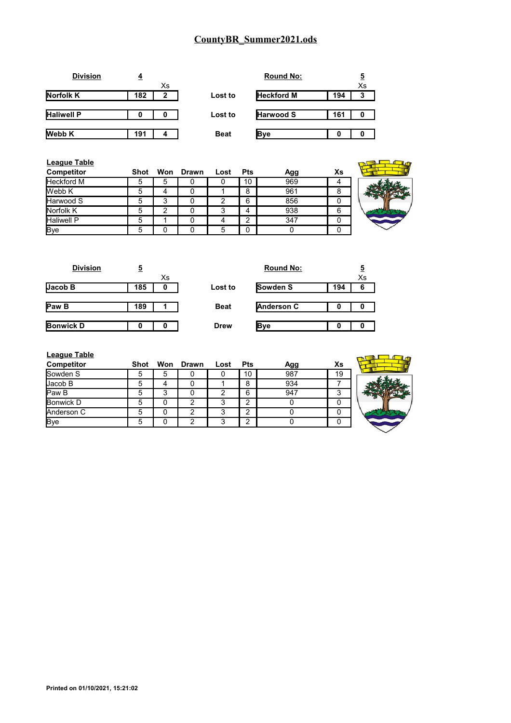

| <b>League Table</b> |      |   |           |      |            |     |    |  |
|---------------------|------|---|-----------|------|------------|-----|----|--|
| <b>Competitor</b>   | Shot |   | Won Drawn | Lost | <b>Pts</b> | Agg | Xs |  |
| <b>Heckford M</b>   | :C   | 5 |           |      | 10         | 969 |    |  |
| Webb K              | 5    | 4 |           |      | 8          | 961 | 8  |  |
| Harwood S           |      | 3 |           |      | 6          | 856 |    |  |
| Norfolk K           |      | 2 |           | 3    | Δ          | 938 | 6  |  |
| <b>Haliwell P</b>   | 5    |   |           |      | ີ          | 347 |    |  |
| <b>Bye</b>          |      |   |           |      | 0          |     |    |  |

| <b>Division</b>  | 5   |    |             | <b>Round No:</b> |     | <u>5</u> |
|------------------|-----|----|-------------|------------------|-----|----------|
|                  |     | Xs |             |                  |     | Xs       |
| Jacob B          | 185 | 0  | Lost to     | Sowden S         | 194 | 6        |
|                  |     |    |             |                  |     |          |
| Paw <sub>B</sub> | 189 |    | <b>Beat</b> | Anderson C       | 0   |          |
|                  |     |    |             |                  |     |          |
| <b>Bonwick D</b> |     |    | <b>Drew</b> | Bye              |     |          |
|                  |     |    |             |                  |     |          |

| <b>League Table</b><br>Competitor | Shot |   | Won Drawn | Lost | <b>Pts</b> | Agg | Xs |  |
|-----------------------------------|------|---|-----------|------|------------|-----|----|--|
| Sowden S                          | 5    | 5 |           |      | 10         | 987 | 19 |  |
| Jacob B                           | 5    | 4 |           |      | 8          | 934 |    |  |
| Paw <sub>B</sub>                  | 5    | 3 |           |      | 6          | 947 | 3  |  |
| Bonwick D                         | 5    |   | າ         |      | ◠          |     |    |  |
| Anderson C                        |      |   | ⌒         |      | ⌒          |     |    |  |
| <b>Bye</b>                        | 5    |   |           |      | ⌒          |     | n  |  |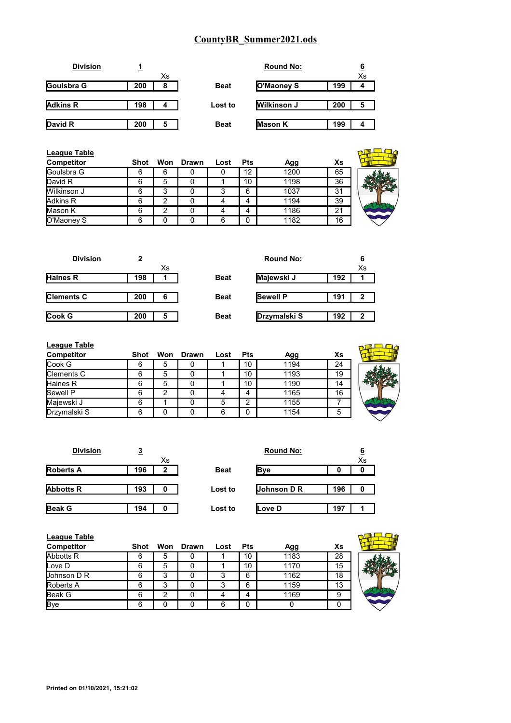|     |    |             | <b>Round No:</b>   |     |    |
|-----|----|-------------|--------------------|-----|----|
|     | Xs |             |                    |     | Xs |
| 200 | 8  | <b>Beat</b> | O'Maoney S         | 199 |    |
|     |    |             |                    |     |    |
| 198 | 4  | Lost to     | <b>Wilkinson J</b> | 200 | 5  |
|     |    |             |                    |     |    |
| 200 | 5  | <b>Beat</b> | <b>Mason K</b>     | 199 |    |
|     |    |             |                    |     |    |

| League Table      |      |   |           |      |            |      |    |  |
|-------------------|------|---|-----------|------|------------|------|----|--|
| <b>Competitor</b> | Shot |   | Won Drawn | Lost | <b>Pts</b> | Agg  | Xs |  |
| Goulsbra G        | 6    | 6 |           |      | 12         | 1200 | 65 |  |
| David R           | 6    | 5 |           |      | 10         | 1198 | 36 |  |
| Wilkinson J       | 6    | 3 |           |      | 6          | 1037 | 31 |  |
| Adkins R          | 6    | າ |           |      |            | 1194 | 39 |  |
| Mason K           | 6    | っ |           |      |            | 1186 | 21 |  |
| O'Maoney S        | 6    |   |           | 6    | $\Omega$   | 1182 | 16 |  |

| <b>Division</b>   | 2        |             | <b>Round No:</b> |     | <u>6</u> |
|-------------------|----------|-------------|------------------|-----|----------|
|                   | Xs       |             |                  |     | Xs       |
| <b>Haines R</b>   | 198      | <b>Beat</b> | Majewski J       | 192 |          |
|                   |          |             |                  |     |          |
| <b>Clements C</b> | 200<br>6 | <b>Beat</b> | <b>Sewell P</b>  | 191 | 2        |
|                   |          |             |                  |     |          |
| Cook G            | 200<br>5 | <b>Beat</b> | Drzymalski S     | 192 | 2        |
|                   |          |             |                  |     |          |

| <b>League Table</b> |      |     |              |      |            |      |    |  |
|---------------------|------|-----|--------------|------|------------|------|----|--|
| <b>Competitor</b>   | Shot | Won | <b>Drawn</b> | Lost | <b>Pts</b> | Agg  | Xs |  |
| Cook G              | 6    | 5   |              |      | 10         | 1194 | 24 |  |
| Clements C          | 6    | 5   |              |      | 10         | 1193 | 19 |  |
| Haines R            | 6    | 5   |              |      | 10         | 1190 | 14 |  |
| <b>Sewell P</b>     | 6    | 2   |              |      | 4          | 1165 | 16 |  |
| Majewski J          | 6    |     |              | 5    | 2          | 1155 |    |  |
| Drzymalski S        | 6    |     |              | ี    | 0          | 1154 | 5  |  |
|                     |      |     |              |      |            |      |    |  |

| <b>Division</b>  | 3   |    |             | <b>Round No:</b> |     | 6  |
|------------------|-----|----|-------------|------------------|-----|----|
|                  |     | Xs |             |                  |     | Xs |
| <b>Roberts A</b> | 196 | 2  | <b>Beat</b> | <b>Bye</b>       | 0   | o  |
|                  |     |    |             |                  |     |    |
| <b>Abbotts R</b> | 193 |    | Lost to     | Johnson D R      | 196 | 0  |
|                  |     |    |             |                  |     |    |
| <b>Beak G</b>    | 194 |    | Lost to     | Love D           | 197 |    |

| <b>League Table</b> |             |     |       |      |            |      |    |  |
|---------------------|-------------|-----|-------|------|------------|------|----|--|
| <b>Competitor</b>   | <b>Shot</b> | Won | Drawn | Lost | <b>Pts</b> | Agg  | Xs |  |
| Abbotts R           | 6           | 5   |       |      | 10         | 1183 | 28 |  |
| Love D              |             | 5   |       |      | 10         | 1170 | 15 |  |
| Uohnson D R         |             | З   |       |      | 6          | 1162 | 18 |  |
| Roberts A           | 6           | 3   |       |      | 6          | 1159 | 13 |  |
| <b>Beak G</b>       |             | ົ   |       |      | 4          | 1169 | 9  |  |
| <b>Bye</b>          | 6           |     |       | 6    | n          |      |    |  |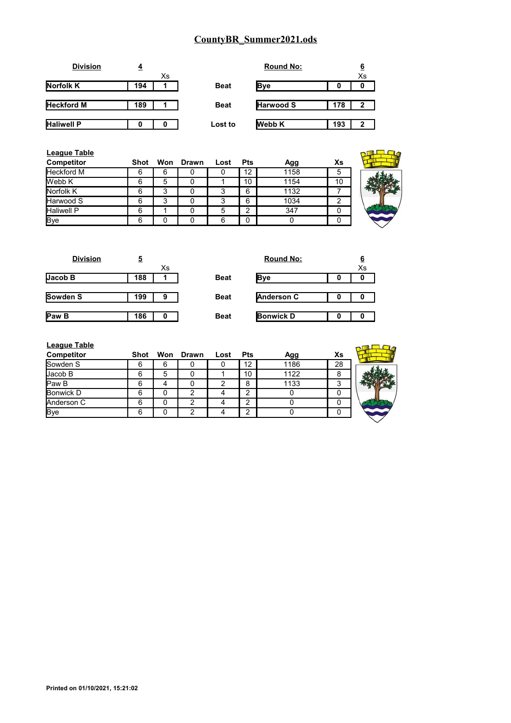| <b>Division</b>   | 4   |    |             | <b>Round No:</b> |     | 6  |
|-------------------|-----|----|-------------|------------------|-----|----|
|                   |     | Xs |             |                  |     | Xs |
| Norfolk K         | 194 |    | <b>Beat</b> | Bye              | 0   | 0  |
| <b>Heckford M</b> | 189 |    | <b>Beat</b> | <b>Harwood S</b> | 178 | 2  |
| <b>Haliwell P</b> |     |    | Lost to     | <b>Webb K</b>    | 193 | 2  |

| <b>League Table</b><br>Competitor | <b>Shot</b> |   | Won Drawn | Lost | <b>Pts</b>   | Agg  | Xs |
|-----------------------------------|-------------|---|-----------|------|--------------|------|----|
| Heckford M                        | 6           | 6 |           |      | 12           | 1158 | 5  |
| Webb K                            | 6           | 5 |           |      | 10           | 1154 | 10 |
| Norfolk K                         | 6           | 3 |           | 3    | 6            | 1132 |    |
| Harwood S                         | 6           | 3 |           | 3    | 6            | 1034 | ົ  |
| <b>Haliwell P</b>                 | 6           |   |           | 5    | 2            | 347  |    |
| <b>Bye</b>                        | 6           |   |           | 6    | $\mathbf{0}$ | 0    |    |

| <b>Division</b> | 5   |    |             | <b>Round No:</b>  |   | $6\overline{6}$ |
|-----------------|-----|----|-------------|-------------------|---|-----------------|
|                 |     | Xs |             |                   |   | Xs              |
| Jacob B         | 188 |    | <b>Beat</b> | <b>Bye</b>        | 0 | 0               |
|                 |     |    |             |                   |   |                 |
| Sowden S        | 199 | 9  | <b>Beat</b> | <b>Anderson C</b> | 0 | 0               |
|                 |     |    |             |                   |   |                 |
| <b>Paw B</b>    | 186 | 0  | <b>Beat</b> | <b>Bonwick D</b>  | 0 | O               |
|                 |     |    |             |                   |   |                 |

| <b>League Table</b> |      |   |           |      |            |      |    |  |
|---------------------|------|---|-----------|------|------------|------|----|--|
| <b>Competitor</b>   | Shot |   | Won Drawn | Lost | <b>Pts</b> | Agg  | Xs |  |
| Sowden S            | 6    | 6 |           | U    | 12         | 1186 | 28 |  |
| Jacob B             | 6    | 5 |           |      | 10         | 1122 | 8  |  |
| Paw B               | 6    |   |           | 2    | 8          | 1133 | ົ  |  |
| <b>Bonwick D</b>    | 6    |   |           |      | 2          |      |    |  |
| Anderson C          | 6    |   |           |      | ⌒          |      |    |  |
| Bye                 | 6    |   |           |      | ົ          |      |    |  |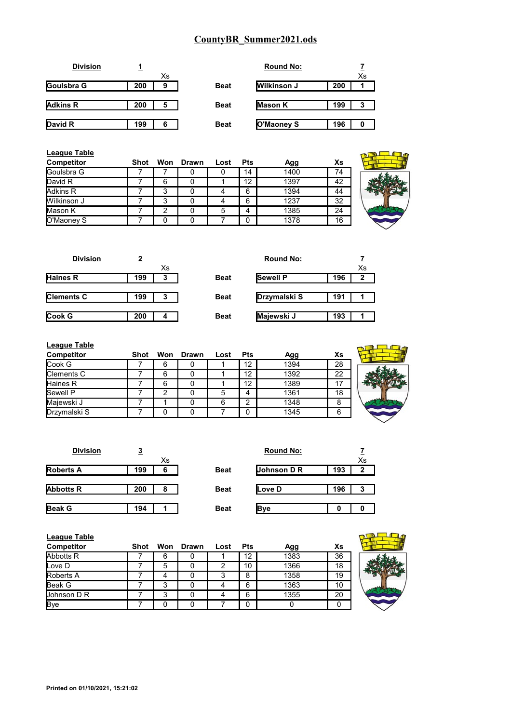| <b>Division</b> |     |    |             | <b>Round No:</b>   |     |    |
|-----------------|-----|----|-------------|--------------------|-----|----|
|                 |     | Xs |             |                    |     | Xs |
| Goulsbra G      | 200 | 9  | <b>Beat</b> | <b>Wilkinson J</b> | 200 |    |
|                 |     |    |             |                    |     |    |
| <b>Adkins R</b> | 200 | 5  | <b>Beat</b> | <b>Mason K</b>     | 199 | 3  |
|                 |     |    |             |                    |     |    |
| David R         | 199 | 6  | <b>Beat</b> | O'Maoney S         | 196 |    |
|                 |     |    |             |                    |     |    |

| <b>League Table</b><br><b>Competitor</b> | Shot |   | Won Drawn | Lost | <b>Pts</b> | Agg  | Xs |  |
|------------------------------------------|------|---|-----------|------|------------|------|----|--|
| <b>Goulsbra G</b>                        |      |   | O         |      | 14         | 1400 | 74 |  |
| David R                                  |      | 6 |           |      | 12         | 1397 | 42 |  |
| Adkins R                                 |      | 3 | 0         |      | 6          | 1394 | 44 |  |
| Wilkinson J                              |      | 3 | 0         |      | 6          | 1237 | 32 |  |
| Mason K                                  |      | っ | 0         | 5    | 4          | 1385 | 24 |  |
| O'Maoney S                               |      |   |           |      | $\Omega$   | 1378 | 16 |  |

| <b>Division</b>   | 2   |    |             | <b>Round No:</b> |     |              |
|-------------------|-----|----|-------------|------------------|-----|--------------|
|                   |     | Xs |             |                  |     | Xs           |
| <b>Haines R</b>   | 199 | 3  | <b>Beat</b> | <b>Sewell P</b>  | 196 | $\mathbf{2}$ |
|                   |     |    |             |                  |     |              |
| <b>Clements C</b> | 199 | 3  | <b>Beat</b> | Drzymalski S     | 191 |              |
|                   |     |    |             |                  |     |              |
| Cook G            | 200 |    | <b>Beat</b> | Majewski J       | 193 |              |
|                   |     |    |             |                  |     |              |

| <b>League Table</b> |      |   |           |      |            |      |    |  |
|---------------------|------|---|-----------|------|------------|------|----|--|
| <b>Competitor</b>   | Shot |   | Won Drawn | Lost | <b>Pts</b> | Agg  | Xs |  |
| Cook G              |      | 6 |           |      | 12         | 1394 | 28 |  |
| Clements C          |      | 6 |           |      | 12         | 1392 | 22 |  |
| Haines R            |      | 6 |           |      | 12         | 1389 | 17 |  |
| Sewell P            |      |   |           | 5    | 4          | 1361 | 18 |  |
| Majewski J          |      |   |           |      | ົ          | 1348 | 8  |  |
| Drzymalski S        |      |   |           |      | 0          | 1345 | 6  |  |

| <b>Division</b>  | 3   |    |             | <b>Round No:</b> |     |    |
|------------------|-----|----|-------------|------------------|-----|----|
|                  |     | Xs |             |                  |     | Xs |
| <b>Roberts A</b> | 199 | 6  | <b>Beat</b> | Johnson D R      | 193 | 2  |
|                  |     |    |             |                  |     |    |
| <b>Abbotts R</b> | 200 | 8  | <b>Beat</b> | <b>ILove D</b>   | 196 | 3  |
|                  |     |    |             |                  |     |    |
| <b>Beak G</b>    | 194 |    | <b>Beat</b> | <b>B</b> ve      | 0   |    |

| League Table<br><b>Competitor</b> | Shot |   | Won Drawn | Lost | <b>Pts</b> | Agg  | Xs |  |
|-----------------------------------|------|---|-----------|------|------------|------|----|--|
| Abbotts R                         |      | 6 |           |      | 12         | 1383 | 36 |  |
| Love D                            |      | 5 |           |      | 10         | 1366 | 18 |  |
| <b>Roberts A</b>                  |      |   |           |      | 8          | 1358 | 19 |  |
| <b>Beak G</b>                     |      | 3 |           |      | 6          | 1363 | 10 |  |
| Johnson D R                       |      | 3 |           |      | 6          | 1355 | 20 |  |
| <b>Bye</b>                        |      |   |           |      |            |      |    |  |

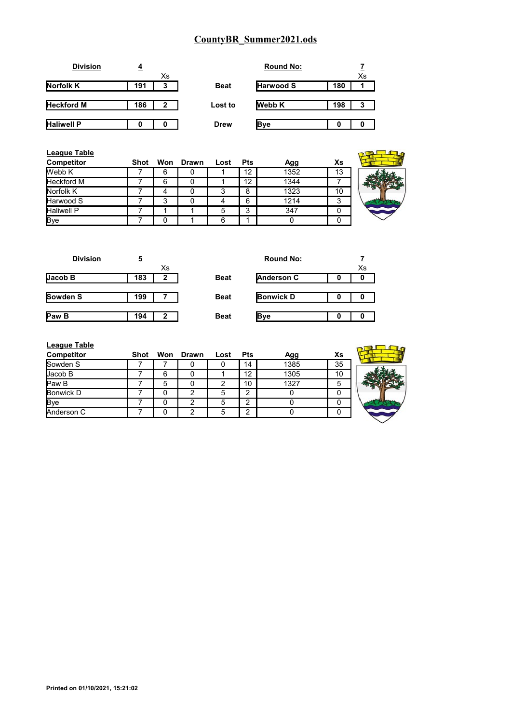| <b>Division</b>   |     |             |             | <b>Round No:</b> |     |    |
|-------------------|-----|-------------|-------------|------------------|-----|----|
|                   |     | Xs          |             |                  |     | Xs |
| <b>Norfolk K</b>  | 191 | 3           | <b>Beat</b> | <b>Harwood S</b> | 180 |    |
|                   |     |             |             |                  |     |    |
| <b>Heckford M</b> | 186 | $\mathbf 2$ | Lost to     | <b>Webb K</b>    | 198 | 3  |
|                   |     |             |             |                  |     |    |
| <b>Haliwell P</b> |     |             | <b>Drew</b> | <b>B</b> ve      |     |    |

| <b>League Table</b><br>Competitor | Shot | Won | Drawn | Lost   | <b>Pts</b> | Agg  | Xs |  |
|-----------------------------------|------|-----|-------|--------|------------|------|----|--|
| Webb K                            |      | 6   |       |        | 12         | 1352 | 13 |  |
| <b>Heckford M</b>                 |      | 6   |       |        | 12         | 1344 |    |  |
| Norfolk K                         |      |     | 0     | ົ<br>J | 8          | 1323 | 10 |  |
| Harwood S                         |      | 3   | 0     | 4      | 6          | 1214 | 3  |  |
| <b>Haliwell P</b>                 |      |     |       | 5      | 3          | 347  | 0  |  |
| <b>Bye</b>                        |      |     |       | 6      |            |      | 0  |  |

| 5   |    |             | <b>Round No:</b> |   |    |
|-----|----|-------------|------------------|---|----|
|     | Xs |             |                  |   | Xs |
| 183 | 2  | <b>Beat</b> | Anderson C       | O | 0  |
|     |    |             |                  |   |    |
| 199 |    | <b>Beat</b> | <b>Bonwick D</b> |   | 0  |
|     |    |             |                  |   |    |
| 194 | 2  | <b>Beat</b> | Bve              | 0 | 0  |
|     |    |             |                  |   |    |

| <b>Round No:</b>  | $\frac{7}{x_s}$ |
|-------------------|-----------------|
| <b>Anderson C</b> |                 |
| <b>Bonwick D</b>  |                 |
|                   |                 |

| <b>League Table</b> |      |   |           |      |            |      |    |  |
|---------------------|------|---|-----------|------|------------|------|----|--|
| Competitor          | Shot |   | Won Drawn | Lost | <b>Pts</b> | Agg  | Xs |  |
| Sowden S            |      |   |           |      | 14         | 1385 | 35 |  |
| Jacob B             |      | 6 |           |      | 12         | 1305 | 10 |  |
| <b>Paw B</b>        |      | 5 |           |      | 10         | 1327 | 5  |  |
| <b>Bonwick D</b>    |      |   | っ         | 5    | 2          |      |    |  |
| <b>B</b> ye         |      |   | າ         | 5    | C          |      |    |  |
| Anderson C          |      |   | ◠         | 5    | 2          |      |    |  |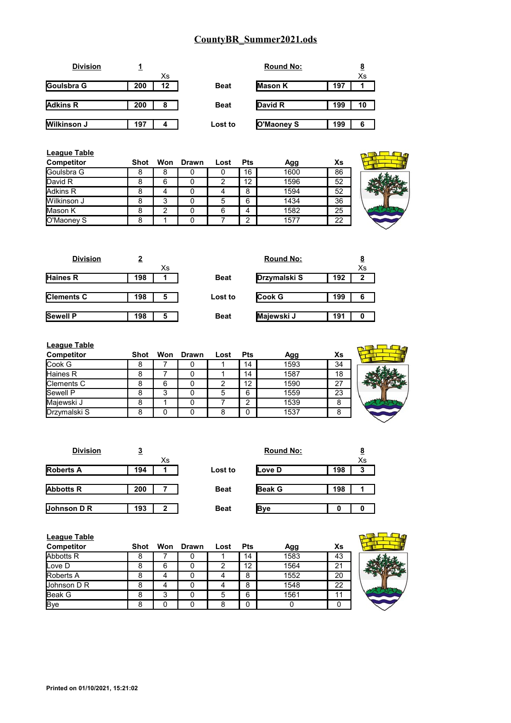| <b>Division</b> |     |    |             | <b>Round No:</b> |     |    |
|-----------------|-----|----|-------------|------------------|-----|----|
|                 |     | Xs |             |                  |     | Xs |
| Goulsbra G      | 200 | 12 | <b>Beat</b> | <b>Mason K</b>   | 197 |    |
|                 |     |    |             |                  |     |    |
| <b>Adkins R</b> | 200 | 8  | <b>Beat</b> | David R          | 199 | 10 |
|                 |     |    |             |                  |     |    |
| Wilkinson J     | 197 | 4  | Lost to     | O'Maoney S       | 199 | 6  |

| <b>League Table</b><br><b>Competitor</b> | Shot |   | Won Drawn | Lost | <b>Pts</b> | Agg  | Xs |  |
|------------------------------------------|------|---|-----------|------|------------|------|----|--|
| Goulsbra G                               | 8    | 8 |           |      | 16         | 1600 | 86 |  |
| David R                                  | 8    | 6 |           |      | 12         | 1596 | 52 |  |
| Adkins R                                 | 8    | 4 |           |      | 8          | 1594 | 52 |  |
| Wilkinson J                              | 8    | 3 |           | 5    | 6          | 1434 | 36 |  |
| Mason K                                  | 8    | ົ |           | 6    | 4          | 1582 | 25 |  |
| O'Maoney S                               | 8    |   |           |      | ົ          | 1577 | 22 |  |

| <b>Division</b>   | 2   |    |             | <b>Round No:</b> |     |    |
|-------------------|-----|----|-------------|------------------|-----|----|
|                   |     | Хs |             |                  |     | Xs |
| <b>Haines R</b>   | 198 |    | <b>Beat</b> | Drzymalski S     | 192 | 2  |
|                   |     |    |             |                  |     |    |
| <b>Clements C</b> | 198 | 5  | Lost to     | <b>Cook G</b>    | 199 | 6  |
|                   |     |    |             |                  |     |    |
| Sewell P          | 198 | 5  | <b>Beat</b> | Majewski J       | 191 | 0  |

| <b>League Table</b> |      |   |           |      |            |      |    |  |
|---------------------|------|---|-----------|------|------------|------|----|--|
| <b>Competitor</b>   | Shot |   | Won Drawn | Lost | <b>Pts</b> | Agg  | Xs |  |
| Cook G              | 8    |   |           |      | 14         | 1593 | 34 |  |
| Haines R            | 8    |   |           |      | 14         | 1587 | 18 |  |
| Clements C          | 8    | 6 |           |      | 12         | 1590 | 27 |  |
| Sewell P            |      | 3 |           | 5    | 6          | 1559 | 23 |  |
| Majewski J          | 8    |   |           |      | հ          | 1539 | 8  |  |
| Drzymalski S        | 8    |   |           |      |            | 1537 | 8  |  |

| <b>Division</b>  | <u>3</u> |              |             | <b>Round No:</b> |     | <u>8</u> |
|------------------|----------|--------------|-------------|------------------|-----|----------|
|                  |          | Xs           |             |                  |     | Xs       |
| <b>Roberts A</b> | 194      |              | Lost to     | Love D           | 198 | 3        |
|                  |          |              |             |                  |     |          |
| <b>Abbotts R</b> | 200      |              | <b>Beat</b> | <b>Beak G</b>    | 198 |          |
|                  |          |              |             |                  |     |          |
| Johnson D R      | 193      | $\mathbf{2}$ | <b>Beat</b> | <b>Bye</b>       | 0   |          |

| <b>League Table</b><br>Competitor | <b>Shot</b> |   | Won Drawn | Lost | <b>Pts</b> | Agg  | Xs |  |
|-----------------------------------|-------------|---|-----------|------|------------|------|----|--|
| <b>Abbotts R</b>                  | 8           |   | 0         |      | 14         | 1583 | 43 |  |
| Love D                            | 8           | 6 |           |      | 12         | 1564 | 21 |  |
| Roberts A                         | 8           | 4 |           |      | 8          | 1552 | 20 |  |
| Johnson D R                       |             | 4 |           |      | 8          | 1548 | 22 |  |
| Beak G                            | 8           | 3 | 0         |      | 6          | 1561 | 11 |  |
| <b>Bye</b>                        | 8           | 0 |           |      | 0          |      |    |  |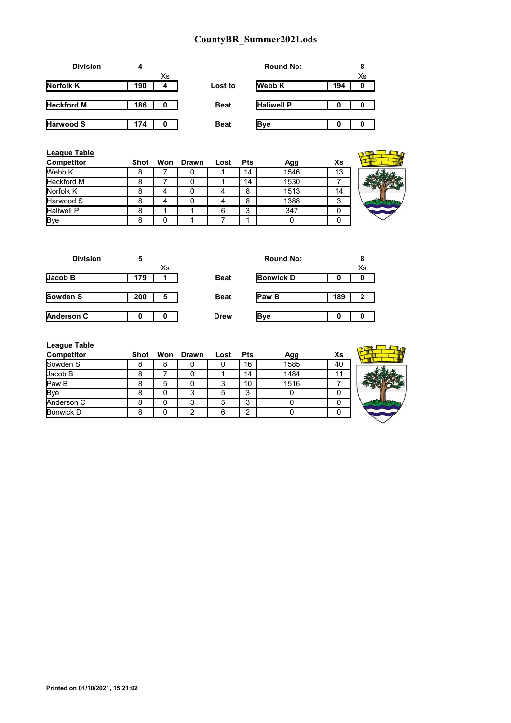| <b>Division</b>   | 4   |    |             | <b>Round No:</b>  |     |    |
|-------------------|-----|----|-------------|-------------------|-----|----|
|                   |     | Xs |             |                   |     | Xs |
| <b>Norfolk K</b>  | 190 | 4  | Lost to     | <b>Webb K</b>     | 194 | 0  |
|                   |     |    |             |                   |     |    |
| <b>Heckford M</b> | 186 | 0  | <b>Beat</b> | <b>Haliwell P</b> | 0   | 0  |
|                   |     |    |             |                   |     |    |
| Harwood S         | 174 | 0  | <b>Beat</b> | <b>B</b> ve       | 0   |    |

| <b>League Table</b><br>Competitor | Shot |   | Won Drawn | Lost | <b>Pts</b> | Agg  | Xs |  |
|-----------------------------------|------|---|-----------|------|------------|------|----|--|
| Webb K                            | 8    |   | υ         |      | 14         | 1546 | 13 |  |
| <b>Heckford M</b>                 | 8    |   |           |      | 14         | 1530 |    |  |
| Norfolk K                         | 8    | 4 |           |      | 8          | 1513 | 14 |  |
| Harwood S                         | 8    | 4 |           |      | 8          | 1388 | 3  |  |
| <b>Haliwell P</b>                 | 8    |   |           | 6    | 3          | 347  |    |  |
| <b>Bye</b>                        | 8    |   |           |      | и          |      |    |  |

| 5   |    |             | <b>Round No:</b> |     | $\overline{8}$ |
|-----|----|-------------|------------------|-----|----------------|
|     | Xs |             |                  |     | Xs             |
| 179 |    | <b>Beat</b> | <b>Bonwick D</b> | 0   | 0              |
|     |    |             |                  |     |                |
| 200 | 5  | <b>Beat</b> | Paw B            | 189 | $\mathbf{2}$   |
|     |    |             |                  |     |                |
| 0   |    | <b>Drew</b> | <b>Bye</b>       | 0   | 0              |
|     |    |             |                  |     |                |

| <b>Round No:</b> |     | <u>8</u><br>$\bar{x_s}$ |
|------------------|-----|-------------------------|
| <b>Bonwick D</b> |     |                         |
| Paw B            | 189 | 2                       |
|                  |     |                         |

| League Table |  |  |
|--------------|--|--|
|              |  |  |

| <b>League Table</b><br><b>Competitor</b> | Shot |   | Won Drawn | Lost | <b>Pts</b> | Agg  | Xs |  |
|------------------------------------------|------|---|-----------|------|------------|------|----|--|
| Sowden S                                 | 8    | 8 |           | O    | 16         | 1585 | 40 |  |
| Jacob B                                  | 8    |   |           |      | 14         | 1484 | 11 |  |
| Paw B                                    | 8    | 5 | 0         | 3    | 10         | 1516 |    |  |
| Bye                                      | 8    |   | 3         | 5    | 3          |      |    |  |
| Anderson C                               | 8    |   | 3         | 5    | 3          |      |    |  |
| Bonwick D                                | 8    |   | ົ         | 6    | ⌒          |      |    |  |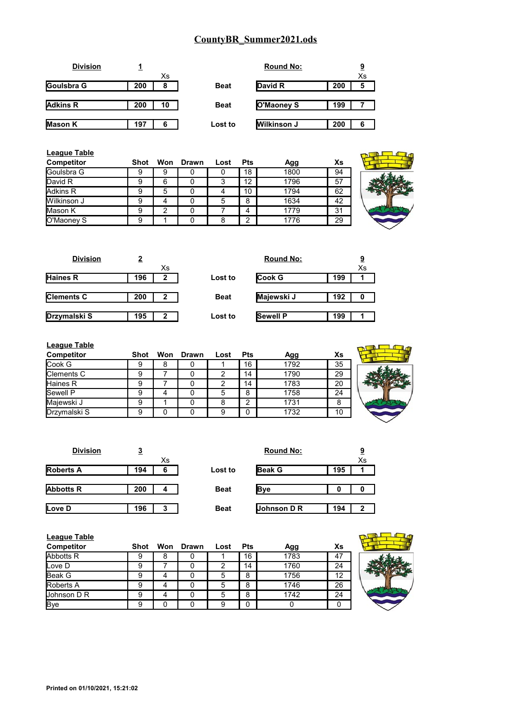|     |    |             | <b>Round No:</b> |                                             | 9  |
|-----|----|-------------|------------------|---------------------------------------------|----|
|     | Xs |             |                  |                                             | Xs |
| 200 | 8  | <b>Beat</b> |                  | 200                                         | 5  |
|     |    |             |                  |                                             |    |
| 200 | 10 | <b>Beat</b> |                  | 199                                         |    |
|     |    |             |                  |                                             |    |
| 197 | 6  | Lost to     |                  | 200                                         | 6  |
|     |    |             |                  | David R<br>O'Maoney S<br><b>Wilkinson J</b> |    |

| League Table<br><b>Competitor</b> | Shot |   | Won Drawn | Lost | <b>Pts</b> | Agg  | Xs |  |
|-----------------------------------|------|---|-----------|------|------------|------|----|--|
| <b>Goulsbra G</b>                 | 9    | 9 | O         | O    | 18         | 1800 | 94 |  |
| David R                           | 9    | 6 | O         | 3    | 12         | 1796 | 57 |  |
| Adkins R                          | 9    | 5 | 0         |      | 10         | 1794 | 62 |  |
| Wilkinson J                       | 9    | 4 | Ω         | 5    | 8          | 1634 | 42 |  |
| <b>Mason K</b>                    | 9    | 2 | 0         |      | 4          | 1779 | 31 |  |
| O'Maoney S                        | 9    |   | 0         | 8    | 2          | 1776 | 29 |  |

| <b>Division</b>   | 2   |              |             | <b>Round No:</b> |     | <u>9</u> |
|-------------------|-----|--------------|-------------|------------------|-----|----------|
|                   |     | Xs           |             |                  |     | Xs       |
| Haines R          | 196 | 2            | Lost to     | <b>Cook G</b>    | 199 |          |
|                   |     |              |             |                  |     |          |
| <b>Clements C</b> | 200 | 2            | <b>Beat</b> | Majewski J       | 192 | 0        |
|                   |     |              |             |                  |     |          |
| Drzymalski S      | 195 | $\mathbf{2}$ | Lost to     | <b>Sewell P</b>  | 199 |          |
|                   |     |              |             |                  |     |          |

| <b>League Table</b> |      |   |           |      |            |      |    |  |
|---------------------|------|---|-----------|------|------------|------|----|--|
| Competitor          | Shot |   | Won Drawn | Lost | <b>Pts</b> | Agg  | Xs |  |
| Cook G              |      | 8 |           |      | 16         | 1792 | 35 |  |
| Clements C          |      |   |           | 2    | 14         | 1790 | 29 |  |
| <b>Haines R</b>     |      |   |           | 2    | 14         | 1783 | 20 |  |
| Sewell P            |      |   |           | 5    | 8          | 1758 | 24 |  |
| Majewski J          | 9    |   |           | 8    | ⌒          | 1731 | 8  |  |
| Drzymalski S        | a    |   |           | 9    |            | 1732 | 10 |  |

| <b>Division</b>  | <u>3</u> |    |             | <b>Round No:</b> |     | <u>9</u> |
|------------------|----------|----|-------------|------------------|-----|----------|
|                  |          | Xs |             |                  |     | Xs       |
| <b>Roberts A</b> | 194      | 6  | Lost to     | <b>Beak G</b>    | 195 |          |
|                  |          |    |             |                  |     |          |
| <b>Abbotts R</b> | 200      | 4  | <b>Beat</b> | <b>Bye</b>       |     | 0        |
|                  |          |    |             |                  |     |          |
| Love D           | 196      | 3  | <b>Beat</b> | Johnson D R      | 194 | 2        |

| League Table       |      |   |           |      |            |      |    |  |
|--------------------|------|---|-----------|------|------------|------|----|--|
| Competitor         | Shot |   | Won Drawn | Lost | <b>Pts</b> | Agg  | Xs |  |
| Abbotts R          | 9    | 8 |           |      | 16         | 1783 | 47 |  |
| Love D             | 9    |   |           |      | 14         | 1760 | 24 |  |
| <b>Beak G</b>      | 9    |   |           |      | 8          | 1756 | 12 |  |
| <b>Roberts A</b>   | 9    |   |           |      | 8          | 1746 | 26 |  |
| <b>Johnson D R</b> | 9    |   |           |      | 8          | 1742 | 24 |  |
| <b>Bye</b>         | 9    |   |           |      | 0          |      |    |  |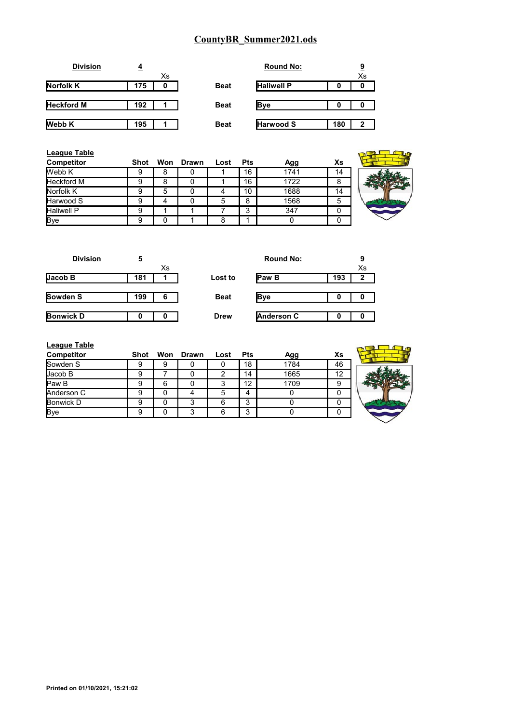| <b>Division</b>   | 4   |    |             | <b>Round No:</b>  |     | <u>9</u> |
|-------------------|-----|----|-------------|-------------------|-----|----------|
|                   |     | Xs |             |                   |     | Xs       |
| <b>Norfolk K</b>  | 175 | 0  | <b>Beat</b> | <b>Haliwell P</b> | 0   | o        |
|                   |     |    |             |                   |     |          |
| <b>Heckford M</b> | 192 |    | <b>Beat</b> | <b>Bye</b>        | 0   | 0        |
|                   |     |    |             |                   |     |          |
| <b>Webb K</b>     | 195 |    | <b>Beat</b> | <b>Harwood S</b>  | 180 | 2        |

| <b>League Table</b> |             |     |       |      |            |      |    |  |
|---------------------|-------------|-----|-------|------|------------|------|----|--|
| Competitor          | <b>Shot</b> | Won | Drawn | Lost | <b>Pts</b> | Agg  | Xs |  |
| Webb K              | 9           | 8   |       |      | 16         | 1741 | 14 |  |
| <b>Heckford M</b>   | 9           | 8   |       |      | 16         | 1722 | 8  |  |
| Norfolk K           | 9           | 5   |       | 4    | 10         | 1688 | 14 |  |
| Harwood S           | 9           |     |       | 5    | 8          | 1568 | 5  |  |
| <b>Haliwell P</b>   | 9           |     |       |      | 3          | 347  | 0  |  |
| Bye                 | 9           |     |       | 8    |            |      | 0  |  |

| <b>Division</b>  | 5   |    |             | <b>Round No:</b>  |     | <u>9</u>     |
|------------------|-----|----|-------------|-------------------|-----|--------------|
|                  |     | Xs |             |                   |     | Xs           |
| JacobB           | 181 |    | Lost to     | <b>Paw B</b>      | 193 | $\mathbf{2}$ |
|                  |     |    |             |                   |     |              |
| <b>Sowden S</b>  | 199 | 6  | <b>Beat</b> | <b>Bye</b>        | O   | 0            |
|                  |     |    |             |                   |     |              |
| <b>Bonwick D</b> | O   |    | <b>Drew</b> | <b>Anderson C</b> | 0   | 0            |

| <b>Round No:</b>  |     | <u>ର</u><br>$\bar{x}$ |
|-------------------|-----|-----------------------|
| Paw B             | 193 | $\overline{2}$        |
| <b>Bye</b>        |     |                       |
| <b>Anderson C</b> |     |                       |

| <b>League Table</b> |             |   |           |      |            |      |    |  |
|---------------------|-------------|---|-----------|------|------------|------|----|--|
| <b>Competitor</b>   | <b>Shot</b> |   | Won Drawn | Lost | <b>Pts</b> | Agg  | Xs |  |
| lSowden S           |             |   |           |      | 18         | 1784 | 46 |  |
| Uacob B             |             |   |           | 2    | 14         | 1665 | 12 |  |
| lPaw B              |             | 6 |           | 3    | 12         | 1709 | 9  |  |
| <b>I</b> Anderson C |             |   |           |      |            |      | 0  |  |
| <b>Bonwick D</b>    |             |   |           | 6    | 3          |      | 0  |  |
| <b>Bye</b>          | a           | n | っ         | 6    | 2<br>J     |      | 0  |  |
|                     |             |   |           |      |            |      |    |  |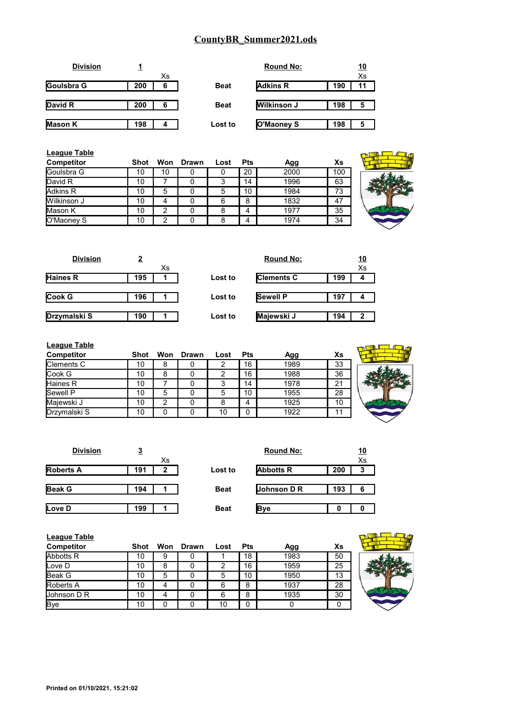|     |    |             | <b>Round No:</b>   |     | <u> 10</u> |
|-----|----|-------------|--------------------|-----|------------|
|     | Xs |             |                    |     | Xs         |
| 200 | 6  | <b>Beat</b> | <b>Adkins R</b>    | 190 | 11         |
|     |    |             |                    |     |            |
| 200 | 6  | <b>Beat</b> | <b>Wilkinson J</b> | 198 | 5          |
|     |    |             |                    |     |            |
| 198 | 4  | Lost to     | O'Maoney S         | 198 | 5          |
|     |    |             |                    |     |            |

| League Table<br>Competitor | <b>Shot</b> | Won | Drawn | Lost | <b>Pts</b> | Agg  | Xs  |  |
|----------------------------|-------------|-----|-------|------|------------|------|-----|--|
| <b>Goulsbra G</b>          | 10          | 10  |       | O    | 20         | 2000 | 100 |  |
| David R                    | 10          |     |       |      | 14         | 1996 | 63  |  |
| Adkins R                   | 10          | 5   |       | 5    | 10         | 1984 | 73  |  |
| Wilkinson J                | 10          | 4   |       | 6    | 8          | 1832 | 47  |  |
| Mason K                    | 10          | 2   |       | 8    |            | 1977 | 35  |  |
| O'Maoney S                 | 10          | ົ   |       | 8    |            | 1974 | 34  |  |



| <b>Division</b> | $\overline{2}$ |    |         | <b>Round No:</b>  |     | <u>10</u> |
|-----------------|----------------|----|---------|-------------------|-----|-----------|
|                 |                | Хs |         |                   |     | Xs        |
| Haines R        | 195            |    | Lost to | <b>Clements C</b> | 199 | 4         |
|                 |                |    |         |                   |     |           |
| Cook G          | 196            |    | Lost to | <b>Sewell P</b>   | 197 |           |
|                 |                |    |         |                   |     |           |
| Drzymalski S    | 190            |    | Lost to | Majewski J        | 194 | 2         |
|                 |                |    |         |                   |     |           |

| <b>League Table</b> |      |     |       |      |            |      |    |  |
|---------------------|------|-----|-------|------|------------|------|----|--|
| Competitor          | Shot | Won | Drawn | Lost | <b>Pts</b> | Agg  | Xs |  |
| <b>Clements C</b>   | 10   | 8   |       | 2    | 16         | 1989 | 33 |  |
| Cook G              | 10   | 8   |       | 2    | 16         | 1988 | 36 |  |
| Haines R            | 10   |     |       | 3    | 14         | 1978 | 21 |  |
| <b>Sewell P</b>     | 10   | 5   |       | 5    | 10         | 1955 | 28 |  |
| Majewski J          | 10   | 2   |       | 8    | 4          | 1925 | 10 |  |
| Drzymalski S        | 10   | 0   |       | 10   |            | 1922 | 11 |  |
|                     |      |     |       |      |            |      |    |  |

| <b>Division</b>  | <u>3</u> |    |             | <b>Round No:</b> |     | <u> 10</u> |
|------------------|----------|----|-------------|------------------|-----|------------|
|                  |          | Xs |             |                  |     | Xs         |
| <b>Roberts A</b> | 191      | 2  | Lost to     | <b>Abbotts R</b> | 200 | 3          |
|                  |          |    |             |                  |     |            |
| <b>Beak G</b>    | 194      |    | <b>Beat</b> | Johnson D R      | 193 | 6          |
|                  |          |    |             |                  |     |            |
| Love D           | 199      |    | <b>Beat</b> | <b>Bye</b>       |     |            |

| League Table     |             |   |           |      |            |      |    |  |
|------------------|-------------|---|-----------|------|------------|------|----|--|
| Competitor       | <b>Shot</b> |   | Won Drawn | Lost | <b>Pts</b> | Agg  | Xs |  |
| Abbotts R        | 10          | 9 |           |      | 18         | 1983 | 50 |  |
| Love D           | 10          | 8 |           | っ    | 16         | 1959 | 25 |  |
| <b>Beak G</b>    | 10          | 5 |           | 5    | 10         | 1950 | 13 |  |
| <b>Roberts A</b> | 10          |   |           | 6    | 8          | 1937 | 28 |  |
| Johnson D R      | 10          |   |           | 6    | 8          | 1935 | 30 |  |
| <b>Bye</b>       | 10          |   |           | 10   | 0          |      |    |  |